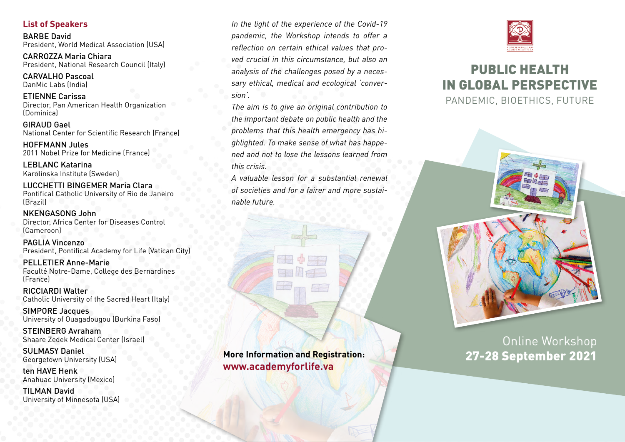### **List of Speakers**

BARBE David President, World Medical Association (USA)

CARROZZA Maria Chiara President, National Research Council (Italy)

CARVALHO Pascoal DanMic Labs (India)

ETIENNE Carissa Director, Pan American Health Organization (Dominica)

GIRAUD Gael National Center for Scientific Research (France)

HOFFMANN Jules 2011 Nobel Prize for Medicine (France)

LEBLANC Katarina Karolinska Institute (Sweden)

LUCCHETTI BINGEMER Maria Clara Pontifical Catholic University of Rio de Janeiro (Brazil)

NKENGASONG John Director, Africa Center for Diseases Control (Cameroon)

PAGLIA Vincenzo President, Pontifical Academy for Life (Vatican City)

PELLETIER Anne-Marie Faculté Notre-Dame, College des Bernardines (France)

RICCIARDI Walter Catholic University of the Sacred Heart (Italy)

SIMPORE Jacques University of Ouagadougou (Burkina Faso)

STEINBERG Avraham Shaare Zedek Medical Center (Israel)

SULMASY Daniel Georgetown University (USA)

ten HAVE Henk Anahuac University (Mexico)

TILMAN David University of Minnesota (USA) *In the light of the experience of the Covid-19 pandemic, the Workshop intends to offer a reflection on certain ethical values that proved crucial in this circumstance, but also an analysis of the challenges posed by a necessary ethical, medical and ecological 'conversion'.* 

*The aim is to give an original contribution to the important debate on public health and the problems that this health emergency has highlighted. To make sense of what has happened and not to lose the lessons learned from this crisis.* 

*A valuable lesson for a substantial renewal of societies and for a fairer and more sustainable future.*

**More Information and Registration:** 27-28 September 2021 **www.academyforlife.va** 







# Online Workshop